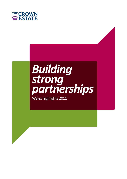

# *Building strong partnerships*

Wales highlights 2011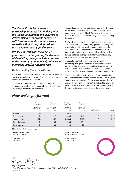*The Crown Estate is committed to partnership. Whether it is working with the Welsh Government and investors to deliver offshore renewable energy, or with local communities in rural Wales, we believe that strong relationships are the foundation of good business.*

*We seek to work with the grain of government and respecting the dynamics of devolution; an approach that has been at the heart of our relationship with Wales during the 2010/11 financial year.* 

#### **Understanding The Crown Estate**

Established by Act of Parliament, our organisation's role is to maintain and enhance the value of the hereditary estates of the Crown, on behalf of the nation.

Our vision is to be the UK's most respected property company as a result of the commercial and sustainable way we manage the diverse portfolio of assets.

The profit earned from our activities is paid to the Treasury for the benefit of the nation. Over the last 10 years this has amounted to nearly £2 billion UK-wide, whilst the capital value of the portfolio has increased by over £3 billion during the same period.

Our Welsh portfolio is diverse including, on our rural estate, substantial areas of common land, agricultural holdings and a range of mineral interests. Our marine estate takes in around half of the foreshore and the seabed out to 12 nautical miles, where we are playing a key role in enabling developers to realise the potential for renewable energy, particularly through offshore wind farms.

In managing our Welsh estates we aim to work in partnership with government and local communities for mutual benefit. We have built good working relationships with the Welsh Government and the National Assembly for Wales, local councils, communities and our own customers.

While our core objective is to be a profitable organisation, we combine that commercial imperative with an equally firm commitment to our values of integrity and stewardship. We manage the assets in our care for the sustainable, long-term benefit of our tenants and other customers, their businesses, the communities they represent, and the environment.

|                                  | <b>The Crown</b><br><b>Estate Wales</b> | The Crown<br><b>Estate Wales</b>    | <b>The Crown</b><br><b>Estate total</b> | The Crown<br>Estate total           |                                        |            |
|----------------------------------|-----------------------------------------|-------------------------------------|-----------------------------------------|-------------------------------------|----------------------------------------|------------|
|                                  | 12 months to<br>31 March 2011<br>£m     | 12 months to<br>31 March 2010<br>£m | 12 months to<br>31 March 2011<br>£m     | 12 months to<br>31 March 2010<br>£m | Increase/(decrease)<br>from prior year | % of total |
| Revenue                          | 2.8                                     | 2.6                                 | 306.8                                   | 299.7                               | 7.7%                                   | 0.9%       |
| Gross surplus                    | 2.5                                     | 2.3                                 | 264.3                                   | 246.8                               | 8.7%                                   | 0.9%       |
| Property value <sup>1</sup>      | 31.3                                    | 28.8                                | 6,703.3                                 | 5,988.7                             | 8.7%                                   | 0.5%       |
| Capital investments <sup>1</sup> | 0.4                                     | 0.2                                 | 571.0                                   | 394.4                               |                                        |            |
| Capital receipts                 | 0.1                                     | 1.8                                 | 406.1                                   | 419.0                               |                                        |            |

*How we've performed*

1 See valuation of wind farms on page 4.

*Year end 31 March 2011 £m Property value by activity*

*A Marine – 2.3 B Rural – 0.5*



*Year end 31 March 2011 £m Revenue by activity*

*A Marine – 23.9 B Rural – 7.4*



*Roger Bright CB* 

*Signed by Second Commissioner and Accounting Officer on behalf of the Board 28 July 2011*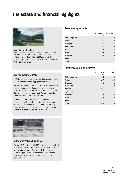# **The estate and financial highlights**



# **Welsh rural estate**

We have rural estates at Aberystwyth, Plynlimon and Tintern totalling 1,326 hectares (3,277 acres) of agricultural land and 26,885 hectares (66,435 acres) of Welsh common land.

# **Revenue by activity**

|                  | Year ended<br>31 March 2011<br>£m | Year ended<br>31 March 2010<br>£m |
|------------------|-----------------------------------|-----------------------------------|
| Cables/pipelines | 0.2                               | 0.2                               |
| Coastal          | 1.3                               | 1.4                               |
| <b>Dredging</b>  | 0.4                               | 0.1                               |
| Renewables       | 0.4                               | 0.4                               |
| <b>Marine</b>    | 2.3                               | 2.1                               |
| Agricultural     | 0.1                               | 0.1                               |
| <b>Minerals</b>  | 0.4                               | 0.4                               |
| <b>Rural</b>     | 0.5                               | 0.5                               |
| <b>Total</b>     | 2.8                               | 2.6                               |

### **Property value by activity**

|                  | As at<br>31 March 2011<br>£m | As at<br>31 March 2010<br>£m |
|------------------|------------------------------|------------------------------|
| Cables/pipelines | 2.1                          | 1.9                          |
| Coastal          | 16.4                         | 15.9                         |
| <b>Dredging</b>  | 0.9                          | 0.6                          |
| Renewables       | 4.5                          | 3.4                          |
| <b>Marine</b>    | 23.9                         | 21.8                         |
| Agricultural     | 4.0                          | 3.5                          |
| <b>Minerals</b>  | 3.1                          | 3.2                          |
| Forestry         | 0.3                          | 0.3                          |
| <b>Rural</b>     | 7.4                          | 7.0                          |
| <b>Total</b>     | 31.3                         | 28.8                         |

# **Welsh marine estate**

In Wales our economic interests include ports, marinas, wind farms and marine aggregate extraction.

We are custodians of the seabed out to the 12 nautical mile territorial limit, including the rights to explore and utilise the natural resources of the UK continental shelf (excluding oil, gas and coal). We are responsible for 65 per cent of the Welsh foreshore.

Through our Marine Communities Fund we support a range of practical projects that contribute to good stewardship around the UK coast. In Wales our projects range from supporting sustainable boating in the River Teifi to investment in Conwy Bird Reserve.



### **Mines Royal and minerals**

We have 245,000 acres (99,000 hectares) of mineral only ownership in Wales. The Crown Estate grants leases to commercial operators for gold and silver exploration and mining across the UK. There are 11 sites leased for mineral extraction in Wales spread across six local authorities.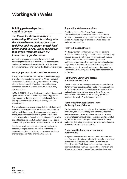# **Working with Wales**

### **Building partnerships from Cardiff to Conwy**

*The Crown Estate is committed to partnership. Whether it is working with the Welsh Government and investors to deliver offshore energy, or with local communities in rural Wales, we believe that strong relationships are the foundation of good business.*

We seek to work with the grain of government and respecting the dynamics of devolution; an approach that has been at the heart of our relationship with the Welsh Government and Assembly during the 2010/11 financial year.

#### **Strategic partnership with Welsh Government**

A major area of work has been offshore renewable energy and related manufacturing capacity in Wales. The Welsh Government has made a strong commitment to tackling climate change through diversified renewable energy generation, and this is an area where we can play a key role as enablers.

In March 2011 The Crown Estate and the Welsh Government signed a Letter of Intent to work together to support the development of the renewable energy industry in Wales. This agreement was first of its kind with any devolved administration.

The work looks at the whole supply chain for offshore wind, but with a particular focus on ports and harbours. We are talking to offshore energy developers and other marine energy stakeholders about their requirements and the challenges they face. This will help identify where upgrades to port facilities are needed, and give developers a better understanding of how these improvements can be delivered.

Our shared aim is to enable Welsh ports to realise their potential; bringing jobs and new skills, and making an important contribution to the economy as well as climate change targets for Wales and the UK as a whole.

#### **Support for Welsh communities**

Established in 1999, The Crown Estate's Marine Communities Fund supports initiatives that contribute to the good management and stewardship of our marine estate. We fund a range of projects in Wales, both large and small. For example:

#### **River Teifi Boating Project**

Working with Afon Teifi Fairways Ltd. the project aims to manage the Teifi estuary in a more sustainable way, giving good advice to visiting boaters. To help train youth sailors The Crown Estate has part-funded the purchase of multipurpose pontoons. These are used as auxiliary landing stages in the winter months and can be reconfigured to lift moorings and perform small scale engineering operations. They are also extensively used during water-based festivals in Cardigan.

#### **RSPB Cymru Conwy Bird Reserve and Newport Wetlands**

The Crown Estate has developed a strong partnership with RSPB Cymru on both these sites. The bird reserves continue to be a quality attraction for holidaymakers, their families and dedicated birdwatchers. Meanwhile, at Conwy we funded the refurbishment of the pumping system that regulates the levels of the lagoons at the site.

#### **Pembrokeshire Coast National Park Authority Zoning Scheme**

Freshwater East, a beach heavily used by tourists and leisure boat users, had seen increasing conflicts arising between different user groups and a zoning scheme was identified as a way of separating activities. The Crown Estate provided a grant for the Authority to purchase thirty marker buoys and sinker chains to mark out separate areas for bathers and power craft users at Freshwater East.

#### **Conserving the honeycomb worm reef at Llanddulas**

Gregarious honeycomb worms build tubes from sand and shell fragments, forming very fragile living reefs up to several metres across. Working with Conwy County Borough Council, we have funded and erected an interpretation board to help raise awareness amongst holidaymakers and fishermen, and protect the reef from accidental damage.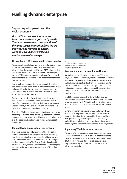# **Fuelling dynamic enterprise**

# **Supporting jobs, growth and the Welsh economy**

*Across Wales we work with business to secure investment, jobs and growth. These businesses are a cross section of dynamic Welsh enterprise: from leisure activities like marinas to energy companies and ports involved in marine renewable energy.* 

#### **Helping build a Welsh renewable energy industry**

Across the UK the offshore wind energy industry is creating some of the largest infrastructure projects in the world. UK-wide there is the potential for over £100 billion market investment and the creation of around 57,000 new jobs by 2020. With a natural abundance of wind, Wales is well positioned to take advantage of this national shift towards low carbon energy.

Key to realising this opportunity is a competitive, reliable and flexible supply chain that will form the backbone of the industry. Welsh businesses have the opportunity to be involved not only in Welsh wind farms but also projects across the rest of the country.

During early 2011 The Crown Estate hosted a two supply chain events for Welsh businesses. These were held in Cardiff and Merseyside and were delivered in partnership with Envirolink, NWDA and the Welsh Government. Five other events were held elsewhere in the UK.

These help Welsh companies understand what they can do to step up to the challenge, providing updated information, networking opportunities to build upon partner relationships and the opportunity get involved in supply chain specific workshops.

#### **Milford Haven Liquid Natural Gas terminal**

The liquid natural gas (LNG) terminal at South Hook, in Milford Haven became fully operational and is bringing into the area not only well skilled and local jobs, but also a continued investment into Pembrokeshire. The project has been supported by The Crown Estate. Shipping at the terminal has this year had a total of some 12.9 million gross tonnage; an increase on the previous year of 4.3 million tonnes.



*Above Milford Haven Liquid Natural Gas terminal where The Crown Estate issupporting investment.*

#### **Raw materials for construction and industry**

As our holdings in Wales include some 245,000 acres (99,000 hectares) of mineral rights and leases for 11 mineral businesses, the quarrying of raw materials for construction and industry is a significant activity for The Crown Estate. These continue to be fundamentally good assets and the various businesses operating to extract these materials continue to make an important contribution to local employment.

In addition to aggregates, The Crown Estate also has interests in slate quarries and this financial year concluded a new agreement with Welsh Slate. This will allow working of slate at Manod Quarry to continue for the foreseeable future.

Mineral extraction is a sensitive issue and we work hard to manage its impact on the environment and on local communities. Quarries are subject to rigorous legislation, with good working practices prescribed by planning authorities and reinforced by regular inspections by our mineral agents, under our environmental audit programme.

#### **Supporting Welsh leisure and tourism**

The Crown Estate manages Conwy Marina and Deganwy Marina. During the year we invested in improvements to Deganwy Marina and both performed very well throughout 2010/11. They have continued to attract visitors and long-term berthing for leisure craft, and are now either full or near capacity.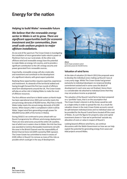# **Energy for the nation**

### **Helping to build Wales' renewable future**

*We believe that the renewable energy sector in Wales is set to grow. There are significant opportunities both for economic investment and for communities, from small scale onshore projects to major offshore installations.* 

At one end of the spectrum The Crown Estate is investigating the installation of micro generation hydro-electric power at Plynlimon Farm on our rural estate. At the other end, offshore wind and renewable energy have the potential to make Wales an energy rich country, and to provide a significant contribution to the UK's energy security and power generated from renewable sources.

Importantly, renewable energy will also create jobs and investment and contribute to the development of a significant industry with great export potential.

Realising these opportunities requires expertise, experience and investment. As stewards of the territorial seabed and having brought forward the first two rounds of offshore wind farm developments around the UK, The Crown Estate will play an active role in helping Wales to make the most of offshore resources.

The first offshore wind farm in Welsh waters at North Hoyle has been operational since 2003 and currently meets the annual energy demands of 40,000 homes. Rhyl Flats in North Wales today meets the annual energy demands of 61,000 homes. When Gwynt y Môr is completed in 2014 it will be Wales' largest wind farm generating enough power for 400,000 homes (40% of the homes in Wales).

During 2010/11 we continued to press ahead with our Round 3 programme for offshore wind energy deployment. There are nine wind zones around the entire UK coastline, two of which are in waters close to Wales: the Irish Sea Zone was awarded to Centrica Renewable Investments Ltd with the zone in the Bristol Channel now the responsibility of Bristol Channel Zone Ltd (100% owned by RWE npower). The Crown Estate has committed to invest in excess of £100 million in Round 3 to remove as many of the risks as possible which could get in the way of development.



*Above North Hoyle wind farm which generates power for 40,000 homes.* 

#### **Valuation of wind farms**

At the date of valuation (31 March 2011) the proposals were to develop the individual zones making up Round 3 was at a very early stage. Whilst The Crown Estate had granted exclusivity to individual developers no reciprocal binding commitment existed and in some cases the detail of development in each zone was not finalised. Hence there is a considerable risk attached to individual Zones that they may not produce income as projected.

The valuation of the Round 3 wind farms has been prepared on a 'portfolio' basis, that is on the assumption that The Crown Estate's interest in all the Zones would be sold as a single entity in order to spread the risk. As a result the valuation shown in the main Crown Estate accounts cannot be split between individual Zones and no individual value can be provided for the Round 3 wind farms located off the coast of Wales. As such the figures for property value and capital investment shown in 'how we've performed' exclude any allocation of costs or value in respect of Round 3.

Looking beyond offshore wind farms, we continue discussions with the Welsh Government on how we can help exploit the potential for generating energy from wave and tidal projects around Wales.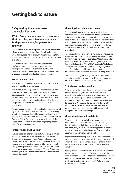# **Getting back to nature**

### **Safeguarding the environment and Welsh heritage**

## *Wales has a rich and diverse environment that must be protected and enhanced, both for today and for generations to come.*

Our commercial drive is tempered with a clear recognition of our stewardship responsibilities. People rightly expect that we will always seek to do the right thing for the long-term wellbeing of assets which form part of the nation's heritage and fabric.

Our main aim is to ensure long term, sustainable performance on our rural estate through active management. We aim to outperform our IPD rural benchmark, whilst taking opportunities for co-investment with stakeholders that will deliver mutual benefit.

#### **Welsh Common Land**

The majority of our estate in Wales is common land; this is primarily used for grazing sheep.

The day-to-day management of common land is usually in the hands of commoners, operating through commons associations. Our aim is to work with our tenants to help in the continued success of their businesses. We provide capital for viable co-investment projects and facilitate the promotion and marketing of high quality products and services.

For example, we are currently investigating the use of small hydro-electric schemes on common land and are working with the Countryside Council for Wales, to identify and catalogue in a database all Sites of Special Scientific Interest (SSSIs) in Wales. We then aim to agree action needed to improve the condition of such sites; helping to preserve them for future generations.

#### **Tintern Abbey and Plynlimon**

We are responsible for two agricultural holdings in Wales: Plynlimon comprises of two agricultural holdings and Tintern, which includes Tintern Abbey and substantial mineral interests on the west bank of the River Wye. In the interest of preserving this monument for future generations we agreed to place the Abbey in the care of CADW under a long-term management agreement. Tintern Abbey is an historic gateway for visitors entering Wales which attracts many visitors each year.

#### **Mines Royal and abandoned mines**

Deposits of gold and silver are known as Mines Royal and are owned by The Crown Estate wherever they occur in the majority of the UK. Commercial production has taken place in Wales in the past, but there is no production activity at the moment. The high price and cache of Welsh gold has been creating greater interest in exploration over the past two years and ultimately this could lead to resumption of production.

Through our historic ownership of minerals, we have some responsibilities for certain abandoned mine workings and during 2010/11 we invested over £100,000 in looking after these sites. For example, we are working closely with the Countryside Council of Wales (CCW) and CADW to balance safety and conservation issues on the Cwmystwyth mine site in Ceredigion. Here historic surface structures had deteriorated into a hazardous state and are being made safe.

This is part of a long-term programme to ensure public safety by managing environmental risks, and carrying out hazard treatment works and mine shaft fencing.

#### **Custodians of Welsh coastline**

Our coastal holdings comprise areas of great beauty and national importance, and we take our responsibilities towards them and to the people of Wales very seriously indeed. The challenge is to balance environmental priorities with opportunities for commercially sustainable development. We achieve this by working closely with the full spectrum of marine-based industries such as ports, harbours, marinas, the renewables sector and throughout our rural land holdings.

#### **Managing offshore mineral rights**

Our marine estate also includes the mineral rights on or under the seabed, from the coastline out to the edge of the UK continental shelf, but not including oil and gas. As a landowner, we issue licences for aggregate extraction once a company has received approval from the Welsh Government, which regulates the matter.

As part of our stewardship role, 2010/11 saw us continue to invest in research into dredging and its impacts. We regularly review the available scientific evidence in order to follow best practice to ensure that this remains a sustainable industry.

Aggregates are an important part of our business, not only for the construction industry of Wales, but also for the many businesses, people and communities that rely on it for employment and income. The vast majority of natural sand used in construction across south east Wales is extracted from the Bristol Channel.